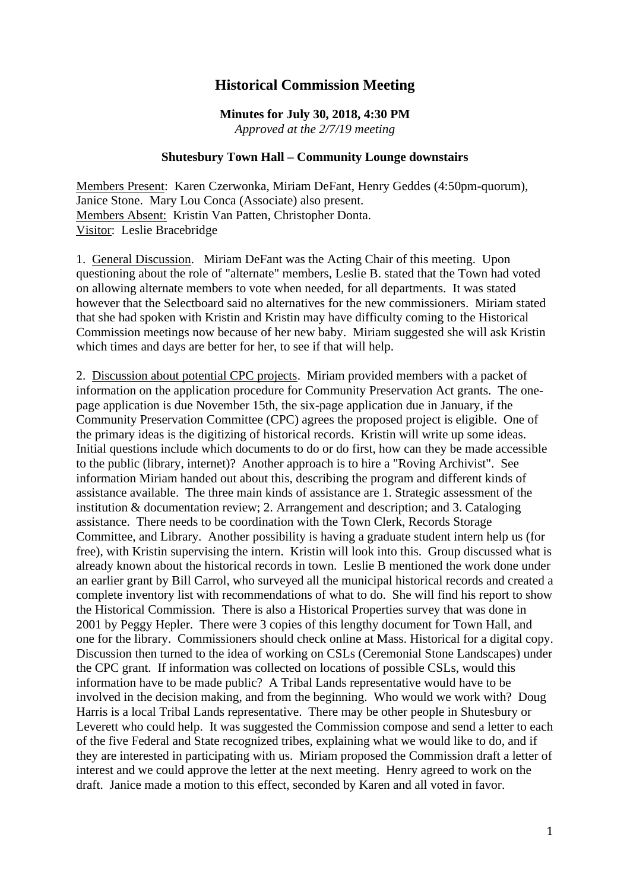## **Historical Commission Meeting**

## **Minutes for July 30, 2018, 4:30 PM**

*Approved at the 2/7/19 meeting*

## **Shutesbury Town Hall – Community Lounge downstairs**

Members Present: Karen Czerwonka, Miriam DeFant, Henry Geddes (4:50pm-quorum), Janice Stone. Mary Lou Conca (Associate) also present. Members Absent: Kristin Van Patten, Christopher Donta. Visitor: Leslie Bracebridge

1. General Discussion. Miriam DeFant was the Acting Chair of this meeting. Upon questioning about the role of "alternate" members, Leslie B. stated that the Town had voted on allowing alternate members to vote when needed, for all departments. It was stated however that the Selectboard said no alternatives for the new commissioners. Miriam stated that she had spoken with Kristin and Kristin may have difficulty coming to the Historical Commission meetings now because of her new baby. Miriam suggested she will ask Kristin which times and days are better for her, to see if that will help.

2. Discussion about potential CPC projects. Miriam provided members with a packet of information on the application procedure for Community Preservation Act grants. The onepage application is due November 15th, the six-page application due in January, if the Community Preservation Committee (CPC) agrees the proposed project is eligible. One of the primary ideas is the digitizing of historical records. Kristin will write up some ideas. Initial questions include which documents to do or do first, how can they be made accessible to the public (library, internet)? Another approach is to hire a "Roving Archivist". See information Miriam handed out about this, describing the program and different kinds of assistance available. The three main kinds of assistance are 1. Strategic assessment of the institution & documentation review; 2. Arrangement and description; and 3. Cataloging assistance. There needs to be coordination with the Town Clerk, Records Storage Committee, and Library. Another possibility is having a graduate student intern help us (for free), with Kristin supervising the intern. Kristin will look into this. Group discussed what is already known about the historical records in town. Leslie B mentioned the work done under an earlier grant by Bill Carrol, who surveyed all the municipal historical records and created a complete inventory list with recommendations of what to do. She will find his report to show the Historical Commission. There is also a Historical Properties survey that was done in 2001 by Peggy Hepler. There were 3 copies of this lengthy document for Town Hall, and one for the library. Commissioners should check online at Mass. Historical for a digital copy. Discussion then turned to the idea of working on CSLs (Ceremonial Stone Landscapes) under the CPC grant. If information was collected on locations of possible CSLs, would this information have to be made public? A Tribal Lands representative would have to be involved in the decision making, and from the beginning. Who would we work with? Doug Harris is a local Tribal Lands representative. There may be other people in Shutesbury or Leverett who could help. It was suggested the Commission compose and send a letter to each of the five Federal and State recognized tribes, explaining what we would like to do, and if they are interested in participating with us. Miriam proposed the Commission draft a letter of interest and we could approve the letter at the next meeting. Henry agreed to work on the draft. Janice made a motion to this effect, seconded by Karen and all voted in favor.